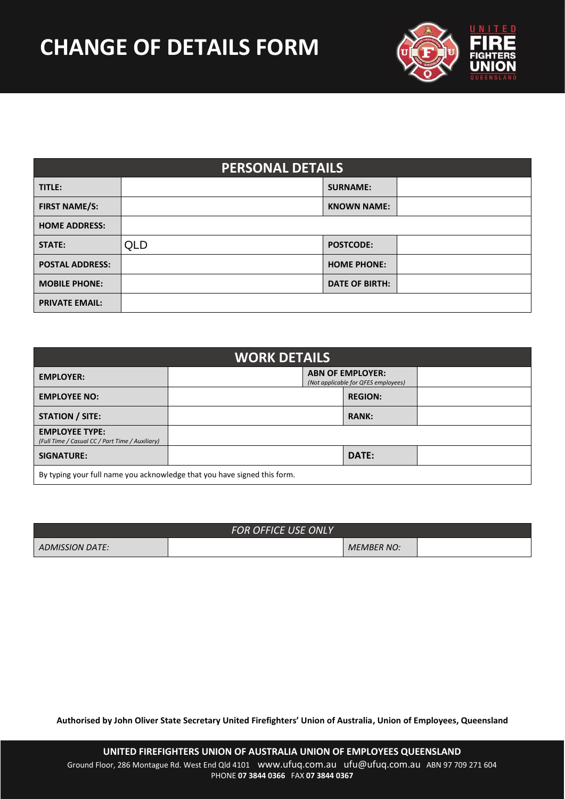

| <b>PERSONAL DETAILS</b> |                                                                |  |                       |  |  |
|-------------------------|----------------------------------------------------------------|--|-----------------------|--|--|
| TITLE:                  |                                                                |  | <b>SURNAME:</b>       |  |  |
| <b>FIRST NAME/S:</b>    |                                                                |  | <b>KNOWN NAME:</b>    |  |  |
| <b>HOME ADDRESS:</b>    |                                                                |  |                       |  |  |
| <b>STATE:</b>           | <b>QLD</b>                                                     |  | <b>POSTCODE:</b>      |  |  |
| <b>POSTAL ADDRESS:</b>  |                                                                |  | <b>HOME PHONE:</b>    |  |  |
| <b>MOBILE PHONE:</b>    |                                                                |  | <b>DATE OF BIRTH:</b> |  |  |
| <b>PRIVATE EMAIL:</b>   |                                                                |  |                       |  |  |
|                         |                                                                |  |                       |  |  |
|                         |                                                                |  |                       |  |  |
| <b>WORK DETAILS</b>     |                                                                |  |                       |  |  |
| <b>EMPLOYER:</b>        | <b>ABN OF EMPLOYER:</b><br>(Not applicable for OEES employees) |  |                       |  |  |

| <b>WORK DETAILS</b>                                                      |                                                                |  |                |  |  |
|--------------------------------------------------------------------------|----------------------------------------------------------------|--|----------------|--|--|
| <b>EMPLOYER:</b>                                                         | <b>ABN OF EMPLOYER:</b><br>(Not applicable for QFES employees) |  |                |  |  |
| <b>EMPLOYEE NO:</b>                                                      |                                                                |  | <b>REGION:</b> |  |  |
| <b>STATION / SITE:</b>                                                   |                                                                |  | <b>RANK:</b>   |  |  |
| <b>EMPLOYEE TYPE:</b><br>(Full Time / Casual CC / Part Time / Auxiliary) |                                                                |  |                |  |  |
| <b>SIGNATURE:</b>                                                        |                                                                |  | DATE:          |  |  |
| By typing your full name you acknowledge that you have signed this form. |                                                                |  |                |  |  |

|                 | <b>FOR OFFICE USE ONLY</b> |                   |  |
|-----------------|----------------------------|-------------------|--|
| ADMISSION DATE: |                            | <b>MEMBER NO:</b> |  |

**Authorised by John Oliver State Secretary United Firefighters' Union of Australia, Union of Employees, Queensland**